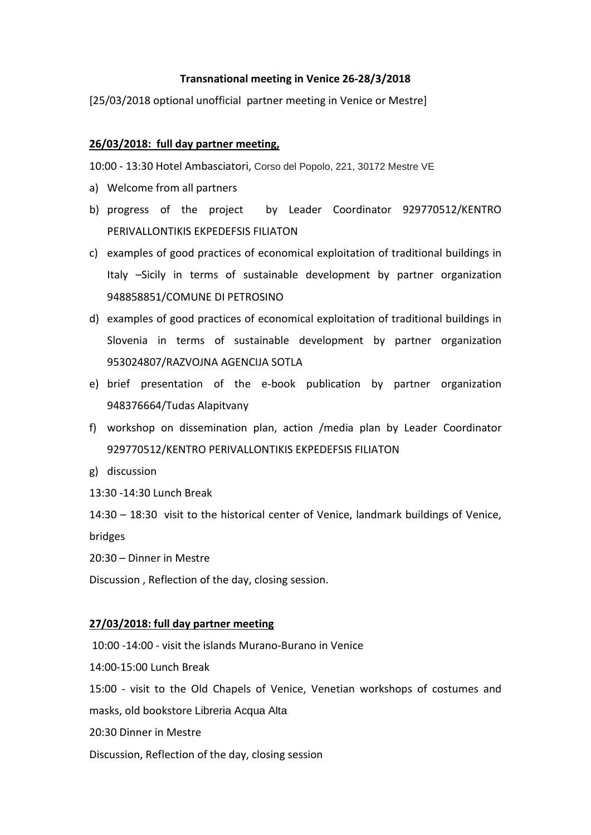## **Transnational meeting in Venice 26-28/3/2018**

[25/03/2018 optional unofficial partner meeting in Venice or Mestre]

## **26/03/2018: full day partner meeting,**

10:00 - 13:30 Hotel Ambasciatori, Corso del Popolo, 221, 30172 Mestre VE

- a) Welcome from all partners
- b) progress of the project by Leader Coordinator 929770512/KENTRO PERIVALLONTIKIS EKPEDEFSIS FILIATON
- c) examples of good practices of economical exploitation of traditional buildings in Italy –Sicily in terms of sustainable development by partner organization 948858851/COMUNE DI PETROSINO
- d) examples of good practices of economical exploitation of traditional buildings in Slovenia in terms of sustainable development by partner organization 953024807/RAZVOJNA AGENCIJA SOTLA
- e) brief presentation of the e-book publication by partner organization 948376664/Tudas Alapitvany
- f) workshop on dissemination plan, action /media plan by Leader Coordinator 929770512/KENTRO PERIVALLONTIKIS EKPEDEFSIS FILIATON
- g) discussion
- 13:30 -14:30 Lunch Break

14:30 – 18:30 visit to the historical center of Venice, landmark buildings of Venice, bridges

20:30 – Dinner in Mestre

Discussion , Reflection of the day, closing session.

## **27/03/2018: full day partner meeting**

10:00 -14:00 - visit the islands Murano-Burano in Venice

14:00-15:00 Lunch Break

15:00 - visit to the Old Chapels of Venice, Venetian workshops of costumes and

masks, old bookstore Libreria Acqua Alta

20:30 Dinner in Mestre

Discussion, Reflection of the day, closing session